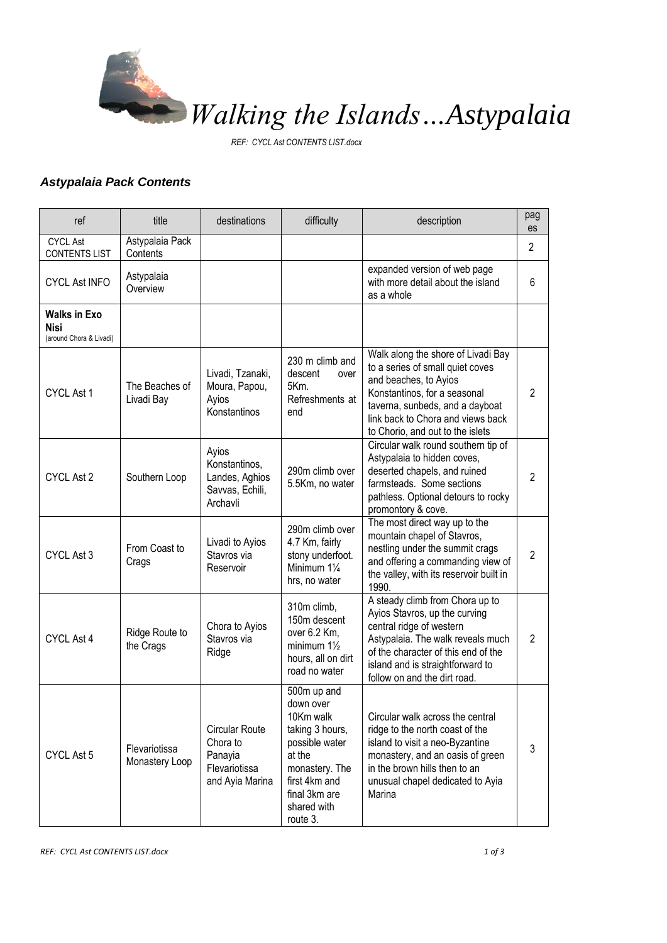

*REF: CYCL Ast CONTENTS LIST.docx*

## *Astypalaia Pack Contents*

| ref                                                    | title                           | destinations                                                                     | difficulty                                                                                                                                                          | description                                                                                                                                                                                                                                  | pag<br>es      |
|--------------------------------------------------------|---------------------------------|----------------------------------------------------------------------------------|---------------------------------------------------------------------------------------------------------------------------------------------------------------------|----------------------------------------------------------------------------------------------------------------------------------------------------------------------------------------------------------------------------------------------|----------------|
| <b>CYCL Ast</b><br><b>CONTENTS LIST</b>                | Astypalaia Pack<br>Contents     |                                                                                  |                                                                                                                                                                     |                                                                                                                                                                                                                                              | 2              |
| <b>CYCL Ast INFO</b>                                   | Astypalaia<br>Overview          |                                                                                  |                                                                                                                                                                     | expanded version of web page<br>with more detail about the island<br>as a whole                                                                                                                                                              | 6              |
| <b>Walks in Exo</b><br>Nisi<br>(around Chora & Livadi) |                                 |                                                                                  |                                                                                                                                                                     |                                                                                                                                                                                                                                              |                |
| CYCL Ast 1                                             | The Beaches of<br>Livadi Bay    | Livadi, Tzanaki,<br>Moura, Papou,<br>Ayios<br>Konstantinos                       | 230 m climb and<br>descent<br>over<br>5Km.<br>Refreshments at<br>end                                                                                                | Walk along the shore of Livadi Bay<br>to a series of small quiet coves<br>and beaches, to Ayios<br>Konstantinos, for a seasonal<br>taverna, sunbeds, and a dayboat<br>link back to Chora and views back<br>to Chorio, and out to the islets  | $\overline{2}$ |
| CYCL Ast 2                                             | Southern Loop                   | Ayios<br>Konstantinos,<br>Landes, Aghios<br>Savvas, Echili,<br>Archavli          | 290m climb over<br>5.5Km, no water                                                                                                                                  | Circular walk round southern tip of<br>Astypalaia to hidden coves,<br>deserted chapels, and ruined<br>farmsteads. Some sections<br>pathless. Optional detours to rocky<br>promontory & cove.                                                 | $\overline{2}$ |
| CYCL Ast 3                                             | From Coast to<br>Crags          | Livadi to Ayios<br>Stavros via<br>Reservoir                                      | 290m climb over<br>4.7 Km, fairly<br>stony underfoot.<br>Minimum 11/4<br>hrs, no water                                                                              | The most direct way up to the<br>mountain chapel of Stavros,<br>nestling under the summit crags<br>and offering a commanding view of<br>the valley, with its reservoir built in<br>1990.                                                     | $\overline{2}$ |
| CYCL Ast 4                                             | Ridge Route to<br>the Crags     | Chora to Ayios<br>Stavros via<br>Ridge                                           | 310m climb,<br>150m descent<br>over 6.2 Km,<br>minimum $1\frac{1}{2}$<br>hours, all on dirt<br>road no water                                                        | A steady climb from Chora up to<br>Ayios Stavros, up the curving<br>central ridge of western<br>Astypalaia. The walk reveals much<br>of the character of this end of the<br>island and is straightforward to<br>follow on and the dirt road. | $\overline{2}$ |
| CYCL Ast 5                                             | Flevariotissa<br>Monastery Loop | <b>Circular Route</b><br>Chora to<br>Panayia<br>Flevariotissa<br>and Ayia Marina | 500m up and<br>down over<br>10Km walk<br>taking 3 hours,<br>possible water<br>at the<br>monastery. The<br>first 4km and<br>final 3km are<br>shared with<br>route 3. | Circular walk across the central<br>ridge to the north coast of the<br>island to visit a neo-Byzantine<br>monastery, and an oasis of green<br>in the brown hills then to an<br>unusual chapel dedicated to Ayia<br>Marina                    | 3              |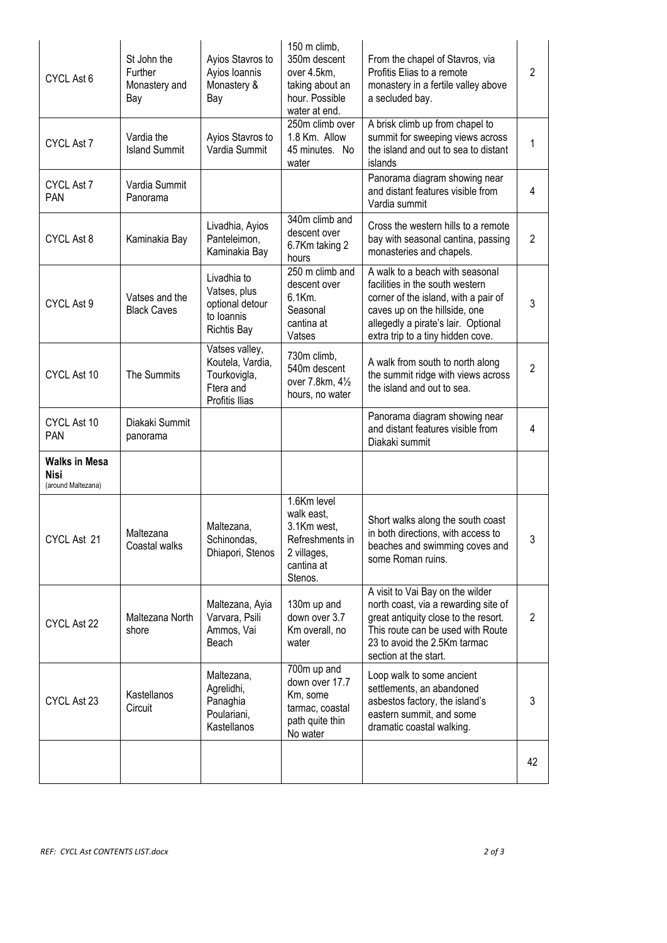| CYCL Ast 6                                                | St John the<br>Further<br>Monastery and<br>Bay | Ayios Stavros to<br>Ayios Ioannis<br>Monastery &<br>Bay                            | 150 m climb,<br>350m descent<br>over 4.5km,<br>taking about an<br>hour. Possible<br>water at end.   | From the chapel of Stavros, via<br>Profitis Elias to a remote<br>monastery in a fertile valley above<br>a secluded bay.                                                                                                 | $\overline{2}$ |
|-----------------------------------------------------------|------------------------------------------------|------------------------------------------------------------------------------------|-----------------------------------------------------------------------------------------------------|-------------------------------------------------------------------------------------------------------------------------------------------------------------------------------------------------------------------------|----------------|
| CYCL Ast 7                                                | Vardia the<br><b>Island Summit</b>             | Ayios Stavros to<br>Vardia Summit                                                  | 250m climb over<br>1.8 Km. Allow<br>45 minutes. No<br>water                                         | A brisk climb up from chapel to<br>summit for sweeping views across<br>the island and out to sea to distant<br>islands                                                                                                  | 1              |
| CYCL Ast 7<br>PAN                                         | Vardia Summit<br>Panorama                      |                                                                                    |                                                                                                     | Panorama diagram showing near<br>and distant features visible from<br>Vardia summit                                                                                                                                     | 4              |
| CYCL Ast 8                                                | Kaminakia Bay                                  | Livadhia, Ayios<br>Panteleimon,<br>Kaminakia Bay                                   | 340m climb and<br>descent over<br>6.7Km taking 2<br>hours                                           | Cross the western hills to a remote<br>bay with seasonal cantina, passing<br>monasteries and chapels.                                                                                                                   | $\overline{2}$ |
| CYCL Ast 9                                                | Vatses and the<br><b>Black Caves</b>           | Livadhia to<br>Vatses, plus<br>optional detour<br>to Ioannis<br><b>Richtis Bay</b> | 250 m climb and<br>descent over<br>6.1Km.<br>Seasonal<br>cantina at<br>Vatses                       | A walk to a beach with seasonal<br>facilities in the south western<br>corner of the island, with a pair of<br>caves up on the hillside, one<br>allegedly a pirate's lair. Optional<br>extra trip to a tiny hidden cove. | 3              |
| CYCL Ast 10                                               | The Summits                                    | Vatses valley,<br>Koutela, Vardia,<br>Tourkovigla,<br>Ftera and<br>Profitis Ilias  | 730m climb.<br>540m descent<br>over 7.8km, 41/2<br>hours, no water                                  | A walk from south to north along<br>the summit ridge with views across<br>the island and out to sea.                                                                                                                    | $\overline{2}$ |
| CYCL Ast 10<br>PAN                                        | Diakaki Summit<br>panorama                     |                                                                                    |                                                                                                     | Panorama diagram showing near<br>and distant features visible from<br>Diakaki summit                                                                                                                                    | 4              |
| <b>Walks in Mesa</b><br><b>Nisi</b><br>(around Maltezana) |                                                |                                                                                    |                                                                                                     |                                                                                                                                                                                                                         |                |
| CYCL Ast 21                                               | Maltezana<br>Coastal walks                     | Maltezana,<br>Schinondas.<br>Dhiapori, Stenos                                      | 1.6Km level<br>walk east,<br>3.1Km west,<br>Refreshments in<br>2 villages,<br>cantina at<br>Stenos. | Short walks along the south coast<br>in both directions, with access to<br>beaches and swimming coves and<br>some Roman ruins.                                                                                          | 3              |
| CYCL Ast 22                                               | Maltezana North<br>shore                       | Maltezana, Ayia<br>Varvara, Psili<br>Ammos, Vai<br>Beach                           | 130m up and<br>down over 3.7<br>Km overall, no<br>water                                             | A visit to Vai Bay on the wilder<br>north coast, via a rewarding site of<br>great antiquity close to the resort.<br>This route can be used with Route<br>23 to avoid the 2.5Km tarmac<br>section at the start.          | 2              |
| CYCL Ast 23                                               | Kastellanos<br>Circuit                         | Maltezana,<br>Agrelidhi,<br>Panaghia<br>Poulariani,<br>Kastellanos                 | 700m up and<br>down over 17.7<br>Km, some<br>tarmac, coastal<br>path quite thin<br>No water         | Loop walk to some ancient<br>settlements, an abandoned<br>asbestos factory, the island's<br>eastern summit, and some<br>dramatic coastal walking.                                                                       | 3              |
|                                                           |                                                |                                                                                    |                                                                                                     |                                                                                                                                                                                                                         | 42             |